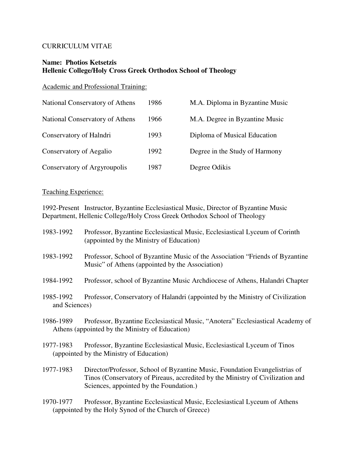### CURRICULUM VITAE

## **Name: Photios Ketsetzis Hellenic College/Holy Cross Greek Orthodox School of Theology**

Academic and Professional Training:

| National Conservatory of Athens | 1986 | M.A. Diploma in Byzantine Music |
|---------------------------------|------|---------------------------------|
| National Conservatory of Athens | 1966 | M.A. Degree in Byzantine Music  |
| Conservatory of Halndri         | 1993 | Diploma of Musical Education    |
| Conservatory of Aegalio         | 1992 | Degree in the Study of Harmony  |
| Conservatory of Argyroupolis    | 1987 | Degree Odikis                   |

# Teaching Experience:

1992-Present Instructor, Byzantine Ecclesiastical Music, Director of Byzantine Music Department, Hellenic College/Holy Cross Greek Orthodox School of Theology

| 1983-1992                  | Professor, Byzantine Ecclesiastical Music, Ecclesiastical Lyceum of Corinth<br>(appointed by the Ministry of Education)                                                                                  |
|----------------------------|----------------------------------------------------------------------------------------------------------------------------------------------------------------------------------------------------------|
| 1983-1992                  | Professor, School of Byzantine Music of the Association "Friends of Byzantine"<br>Music" of Athens (appointed by the Association)                                                                        |
| 1984-1992                  | Professor, school of Byzantine Music Archdiocese of Athens, Halandri Chapter                                                                                                                             |
| 1985-1992<br>and Sciences) | Professor, Conservatory of Halandri (appointed by the Ministry of Civilization                                                                                                                           |
| 1986-1989                  | Professor, Byzantine Ecclesiastical Music, "Anotera" Ecclesiastical Academy of<br>Athens (appointed by the Ministry of Education)                                                                        |
| 1977-1983                  | Professor, Byzantine Ecclesiastical Music, Ecclesiastical Lyceum of Tinos<br>(appointed by the Ministry of Education)                                                                                    |
| 1977-1983                  | Director/Professor, School of Byzantine Music, Foundation Evangelistrias of<br>Tinos (Conservatory of Pireaus, accredited by the Ministry of Civilization and<br>Sciences, appointed by the Foundation.) |
| 1970-1977                  | Professor, Byzantine Ecclesiastical Music, Ecclesiastical Lyceum of Athens<br>(appointed by the Holy Synod of the Church of Greece)                                                                      |